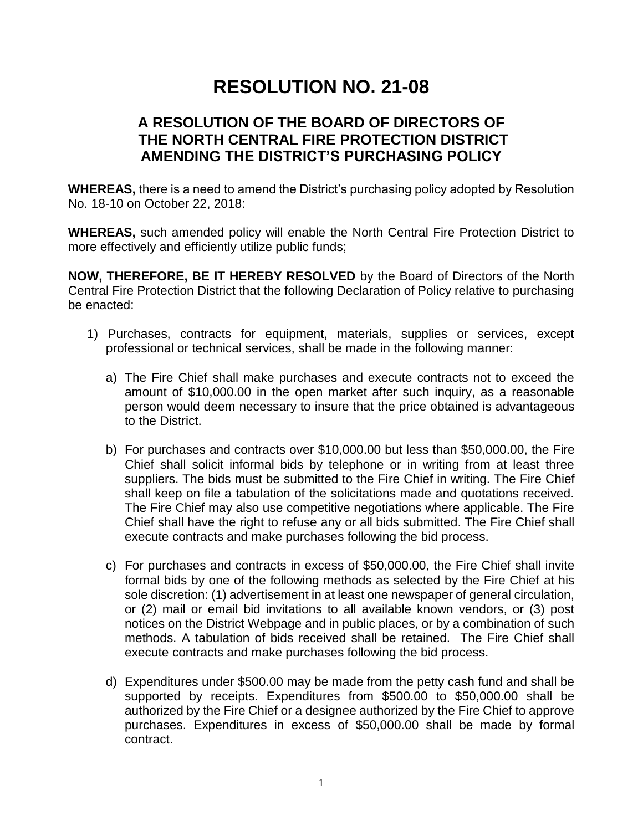# **RESOLUTION NO. 21-08**

## **A RESOLUTION OF THE BOARD OF DIRECTORS OF THE NORTH CENTRAL FIRE PROTECTION DISTRICT AMENDING THE DISTRICT'S PURCHASING POLICY**

**WHEREAS,** there is a need to amend the District's purchasing policy adopted by Resolution No. 18-10 on October 22, 2018:

**WHEREAS,** such amended policy will enable the North Central Fire Protection District to more effectively and efficiently utilize public funds;

**NOW, THEREFORE, BE IT HEREBY RESOLVED** by the Board of Directors of the North Central Fire Protection District that the following Declaration of Policy relative to purchasing be enacted:

- 1) Purchases, contracts for equipment, materials, supplies or services, except professional or technical services, shall be made in the following manner:
	- a) The Fire Chief shall make purchases and execute contracts not to exceed the amount of \$10,000.00 in the open market after such inquiry, as a reasonable person would deem necessary to insure that the price obtained is advantageous to the District.
	- b) For purchases and contracts over \$10,000.00 but less than \$50,000.00, the Fire Chief shall solicit informal bids by telephone or in writing from at least three suppliers. The bids must be submitted to the Fire Chief in writing. The Fire Chief shall keep on file a tabulation of the solicitations made and quotations received. The Fire Chief may also use competitive negotiations where applicable. The Fire Chief shall have the right to refuse any or all bids submitted. The Fire Chief shall execute contracts and make purchases following the bid process.
	- c) For purchases and contracts in excess of \$50,000.00, the Fire Chief shall invite formal bids by one of the following methods as selected by the Fire Chief at his sole discretion: (1) advertisement in at least one newspaper of general circulation, or (2) mail or email bid invitations to all available known vendors, or (3) post notices on the District Webpage and in public places, or by a combination of such methods. A tabulation of bids received shall be retained. The Fire Chief shall execute contracts and make purchases following the bid process.
	- d) Expenditures under \$500.00 may be made from the petty cash fund and shall be supported by receipts. Expenditures from \$500.00 to \$50,000.00 shall be authorized by the Fire Chief or a designee authorized by the Fire Chief to approve purchases. Expenditures in excess of \$50,000.00 shall be made by formal contract.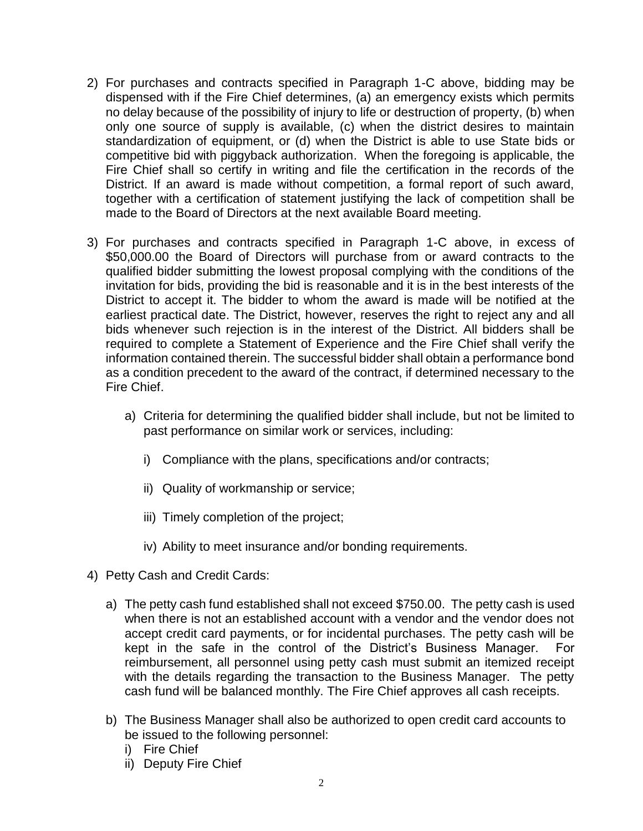- 2) For purchases and contracts specified in Paragraph 1-C above, bidding may be dispensed with if the Fire Chief determines, (a) an emergency exists which permits no delay because of the possibility of injury to life or destruction of property, (b) when only one source of supply is available, (c) when the district desires to maintain standardization of equipment, or (d) when the District is able to use State bids or competitive bid with piggyback authorization. When the foregoing is applicable, the Fire Chief shall so certify in writing and file the certification in the records of the District. If an award is made without competition, a formal report of such award, together with a certification of statement justifying the lack of competition shall be made to the Board of Directors at the next available Board meeting.
- 3) For purchases and contracts specified in Paragraph 1-C above, in excess of \$50,000.00 the Board of Directors will purchase from or award contracts to the qualified bidder submitting the lowest proposal complying with the conditions of the invitation for bids, providing the bid is reasonable and it is in the best interests of the District to accept it. The bidder to whom the award is made will be notified at the earliest practical date. The District, however, reserves the right to reject any and all bids whenever such rejection is in the interest of the District. All bidders shall be required to complete a Statement of Experience and the Fire Chief shall verify the information contained therein. The successful bidder shall obtain a performance bond as a condition precedent to the award of the contract, if determined necessary to the Fire Chief.
	- a) Criteria for determining the qualified bidder shall include, but not be limited to past performance on similar work or services, including:
		- i) Compliance with the plans, specifications and/or contracts;
		- ii) Quality of workmanship or service;
		- iii) Timely completion of the project;
		- iv) Ability to meet insurance and/or bonding requirements.
- 4) Petty Cash and Credit Cards:
	- a) The petty cash fund established shall not exceed \$750.00. The petty cash is used when there is not an established account with a vendor and the vendor does not accept credit card payments, or for incidental purchases. The petty cash will be kept in the safe in the control of the District's Business Manager. For reimbursement, all personnel using petty cash must submit an itemized receipt with the details regarding the transaction to the Business Manager. The petty cash fund will be balanced monthly. The Fire Chief approves all cash receipts.
	- b) The Business Manager shall also be authorized to open credit card accounts to be issued to the following personnel:
		- i) Fire Chief
		- ii) Deputy Fire Chief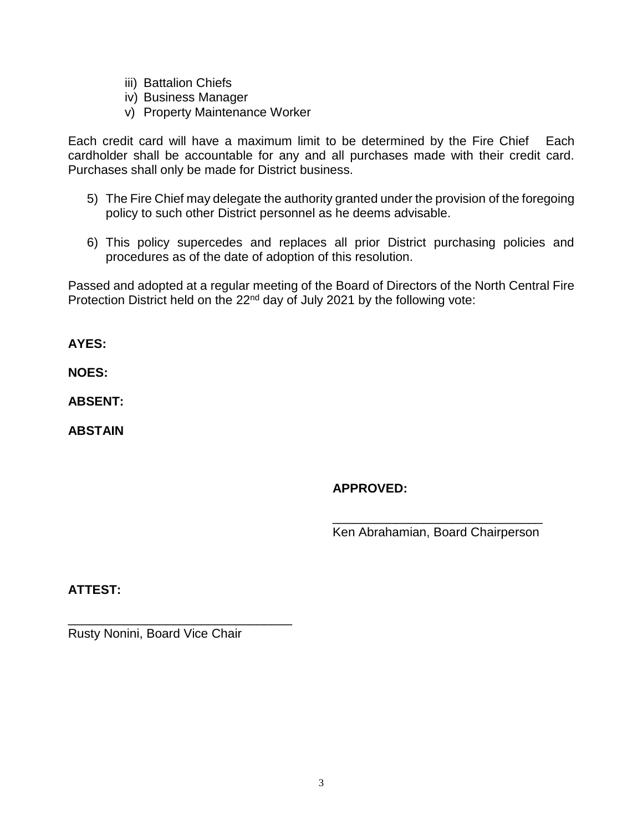- iii) Battalion Chiefs
- iv) Business Manager
- v) Property Maintenance Worker

Each credit card will have a maximum limit to be determined by the Fire Chief Each cardholder shall be accountable for any and all purchases made with their credit card. Purchases shall only be made for District business.

- 5) The Fire Chief may delegate the authority granted under the provision of the foregoing policy to such other District personnel as he deems advisable.
- 6) This policy supercedes and replaces all prior District purchasing policies and procedures as of the date of adoption of this resolution.

Passed and adopted at a regular meeting of the Board of Directors of the North Central Fire Protection District held on the 22<sup>nd</sup> day of July 2021 by the following vote:

**AYES:**

**NOES:**

**ABSENT:**

**ABSTAIN**

### **APPROVED:**

\_\_\_\_\_\_\_\_\_\_\_\_\_\_\_\_\_\_\_\_\_\_\_\_\_\_\_\_\_\_ Ken Abrahamian, Board Chairperson

**ATTEST:**

\_\_\_\_\_\_\_\_\_\_\_\_\_\_\_\_\_\_\_\_\_\_\_\_\_\_\_\_\_\_\_\_ Rusty Nonini, Board Vice Chair